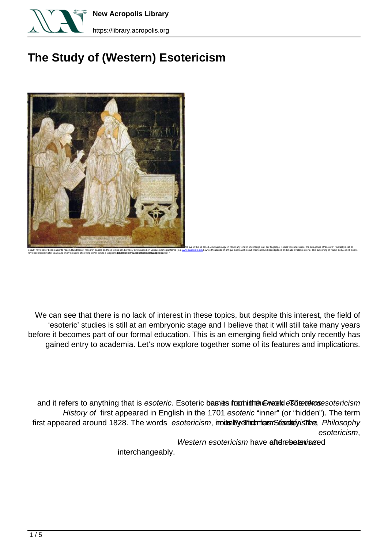

**New Acropolis Library** 

https://library.acropolis.org

## **The Study of (Western) Esotericism**



We can see that there is no lack of interest in these topics, but despite this interest, the field of 'esoteric' studies is still at an embryonic stage and I believe that it will still take many years before it becomes part of our formal education. This is an emerging field which only recently has gained entry to academia. Let's now explore together some of its features and implications.

and it refers to anything that is esoteric. Esoteric basides from the Event es betthe resotericism History of first appeared in English in the 1701 esoteric "inner" (or "hidden"). The term first appeared around 1828. The words esotericism, inount by extraordian Standard Standard Philosophy esotericism.

Western esotericism have afterebeteringed

interchangeably.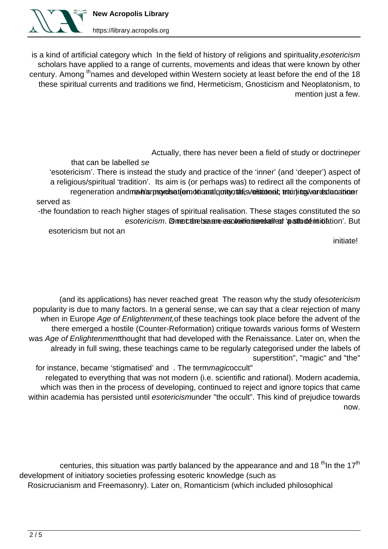

https://library.acropolis.org

is a kind of artificial category which In the field of history of religions and spirituality, esotericism scholars have applied to a range of currents, movements and ideas that were known by other century. Among <sup>th</sup> names and developed within Western society at least before the end of the 18 these spiritual currents and traditions we find, Hermeticism, Gnosticism and Neoplatonism, to mention just a few.

Actually, there has never been a field of study or doctrineper

that can be labelled se 'esotericism'. There is instead the study and practice of the 'inner' (and 'deeper') aspect of a religious/spiritual 'tradition'. Its aim is (or perhaps was) to redirect all the components of regeneration and real n'arpsyroliset (emotricanal quite nutalis versitonent statining wards denoting and regener served as

-the foundation to reach higher stages of spiritual realisation. These stages constituted the so esotericism. Gmeethebeaane essoteidicational as as thundermitiation'. But

esotericism but not an

initiate!

(and its applications) has never reached great The reason why the study ofesotericism popularity is due to many factors. In a general sense, we can say that a clear rejection of many when in Europe Age of Enlightenment of these teachings took place before the advent of the there emerged a hostile (Counter-Reformation) critique towards various forms of Western was Age of Enlightenmentthought that had developed with the Renaissance. Later on, when the already in full swing, these teachings came to be regularly categorised under the labels of superstition", "magic" and "the"

for instance, became 'stigmatised' and . The termmagicoccult" relegated to everything that was not modern (i.e. scientific and rational). Modern academia, which was then in the process of developing, continued to reject and ignore topics that came within academia has persisted until esotericismunder "the occult". This kind of prejudice towards .now

centuries, this situation was partly balanced by the appearance and and 18<sup>th</sup> In the 17<sup>th</sup> development of initiatory societies professing esoteric knowledge (such as Rosicrucianism and Freemasonry). Later on, Romanticism (which included philosophical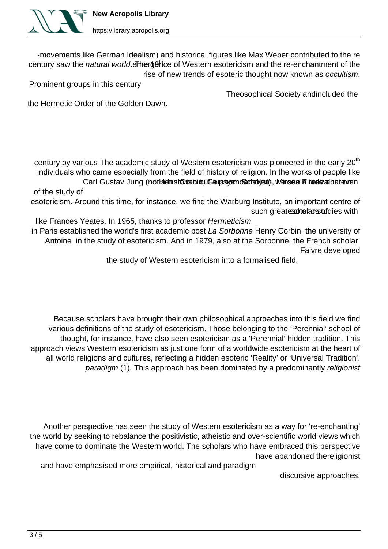

https://library.acropolis.org

-movements like German Idealism) and historical figures like Max Weber contributed to the re century saw the natural world etherget the of Western esotericism and the re-enchantment of the rise of new trends of esoteric thought now known as occultism.

Prominent groups in this century

Theosophical Society andincluded the

the Hermetic Order of the Golden Dawn.

century by various The academic study of Western esotericism was pioneered in the early 20<sup>th</sup> individuals who came especially from the field of history of religion. In the works of people like Carl Gustav Jung (not Helmist Quathibu Gershoch Gerativem, Wersea Elized of alue ven of the study of

esotericism. Around this time, for instance, we find the Warburg Institute, an important centre of such greates otterians tuich such structure in

like Frances Yeates. In 1965, thanks to professor Hermeticism

in Paris established the world's first academic post La Sorbonne Henry Corbin, the university of Antoine in the study of esotericism. And in 1979, also at the Sorbonne, the French scholar Faivre developed

the study of Western esotericism into a formalised field.

Because scholars have brought their own philosophical approaches into this field we find various definitions of the study of esotericism. Those belonging to the 'Perennial' school of thought, for instance, have also seen esotericism as a 'Perennial' hidden tradition. This approach views Western esotericism as just one form of a worldwide esotericism at the heart of all world religions and cultures, reflecting a hidden esoteric 'Reality' or 'Universal Tradition'. paradigm (1). This approach has been dominated by a predominantly religionist

Another perspective has seen the study of Western esotericism as a way for 're-enchanting' the world by seeking to rebalance the positivistic, atheistic and over-scientific world views which have come to dominate the Western world. The scholars who have embraced this perspective have abandoned thereligionist

and have emphasised more empirical, historical and paradigm

discursive approaches.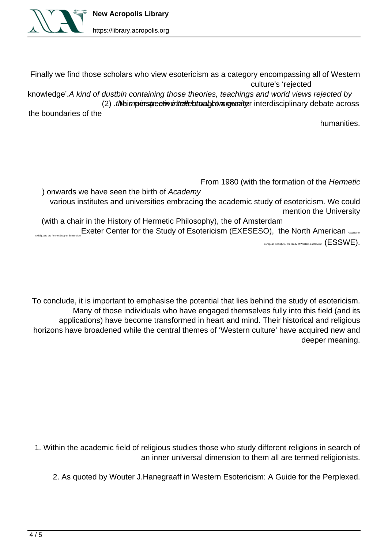

Finally we find those scholars who view esotericism as a category encompassing all of Western culture's 'rejected

knowledge'. A kind of dustbin containing those theories, teachings and world views rejected by (2) intellar maturity intellectual management of the across debate across debate across

the boundaries of the

.humanities

From 1980 (with the formation of the Hermetic

) onwards we have seen the birth of Academy various institutes and universities embracing the academic study of esotericism. We could mention the University

(with a chair in the History of Hermetic Philosophy), the of Amsterdam  $A$ ASE), and the for the Study of Esotericism (Exeter Center for the Study of Esotericism (EXESESO), the North American Association European Society for the Study of Western Esotericism  $(\textsf{ESSWE}).$ 

To conclude, it is important to emphasise the potential that lies behind the study of esotericism. Many of those individuals who have engaged themselves fully into this field (and its applications) have become transformed in heart and mind. Their historical and religious horizons have broadened while the central themes of 'Western culture' have acquired new and deeper meaning.

1. Within the academic field of religious studies those who study different religions in search of an inner universal dimension to them all are termed religionists.

2. As quoted by Wouter J.Hanegraaff in Western Esotericism: A Guide for the Perplexed.